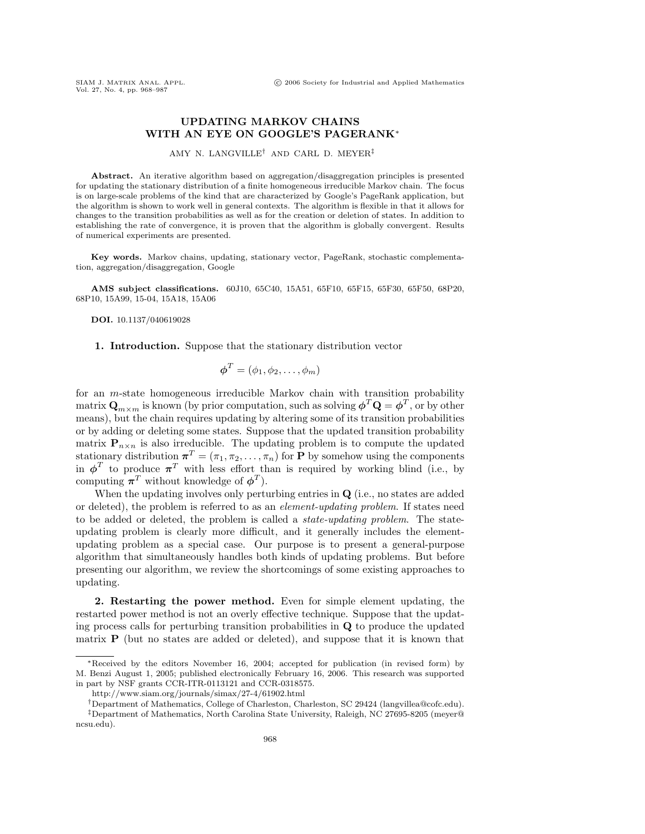## **UPDATING MARKOV CHAINS WITH AN EYE ON GOOGLE'S PAGERANK**∗

AMY N. LANGVILLE† AND CARL D. MEYER‡

Abstract. An iterative algorithm based on aggregation/disaggregation principles is presented for updating the stationary distribution of a finite homogeneous irreducible Markov chain. The focus is on large-scale problems of the kind that are characterized by Google's PageRank application, but the algorithm is shown to work well in general contexts. The algorithm is flexible in that it allows for changes to the transition probabilities as well as for the creation or deletion of states. In addition to establishing the rate of convergence, it is proven that the algorithm is globally convergent. Results of numerical experiments are presented.

**Key words.** Markov chains, updating, stationary vector, PageRank, stochastic complementation, aggregation/disaggregation, Google

**AMS subject classifications.** 60J10, 65C40, 15A51, 65F10, 65F15, 65F30, 65F50, 68P20, 68P10, 15A99, 15-04, 15A18, 15A06

**DOI.** 10.1137/040619028

**1. Introduction.** Suppose that the stationary distribution vector

$$
\boldsymbol{\phi}^T = (\phi_1, \phi_2, \dots, \phi_m)
$$

for an m-state homogeneous irreducible Markov chain with transition probability matrix  $\mathbf{Q}_{m \times m}$  is known (by prior computation, such as solving  $\boldsymbol{\phi}^T \mathbf{Q} = \boldsymbol{\phi}^T$ , or by other means), but the chain requires updating by altering some of its transition probabilities or by adding or deleting some states. Suppose that the updated transition probability matrix  $P_{n \times n}$  is also irreducible. The updating problem is to compute the updated stationary distribution  $\boldsymbol{\pi}^T = (\pi_1, \pi_2, \dots, \pi_n)$  for **P** by somehow using the components in  $\phi^T$  to produce  $\pi^T$  with less effort than is required by working blind (i.e., by computing  $\pi^T$  without knowledge of  $\phi^T$ ).

When the updating involves only perturbing entries in **Q** (i.e., no states are added or deleted), the problem is referred to as an element-updating problem. If states need to be added or deleted, the problem is called a state-updating problem. The stateupdating problem is clearly more difficult, and it generally includes the elementupdating problem as a special case. Our purpose is to present a general-purpose algorithm that simultaneously handles both kinds of updating problems. But before presenting our algorithm, we review the shortcomings of some existing approaches to updating.

**2. Restarting the power method.** Even for simple element updating, the restarted power method is not an overly effective technique. Suppose that the updating process calls for perturbing transition probabilities in **Q** to produce the updated matrix **P** (but no states are added or deleted), and suppose that it is known that

<sup>∗</sup>Received by the editors November 16, 2004; accepted for publication (in revised form) by M. Benzi August 1, 2005; published electronically February 16, 2006. This research was supported in part by NSF grants CCR-ITR-0113121 and CCR-0318575.

http://www.siam.org/journals/simax/27-4/61902.html

<sup>†</sup>Department of Mathematics, College of Charleston, Charleston, SC 29424 (langvillea@cofc.edu). ‡Department of Mathematics, North Carolina State University, Raleigh, NC 27695-8205 (meyer@ ncsu.edu).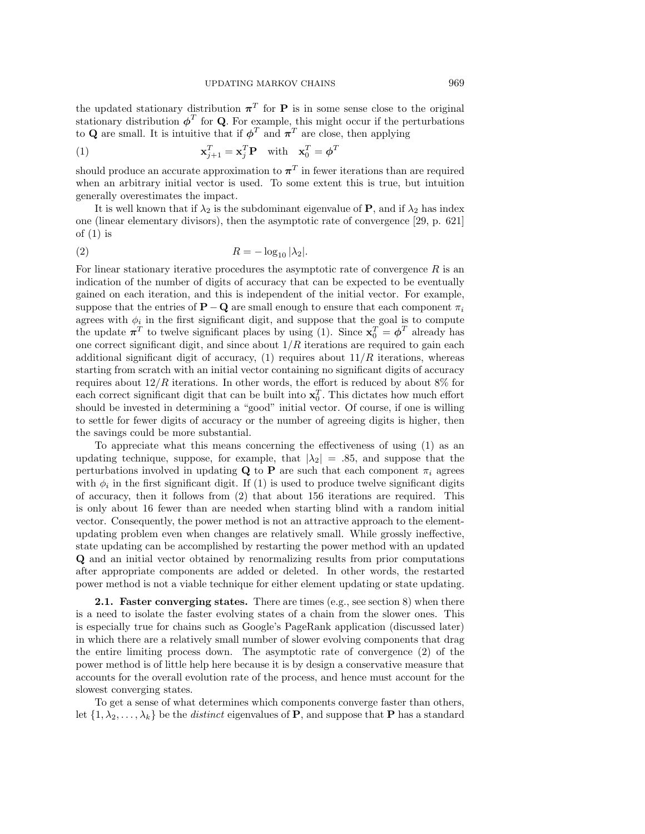the updated stationary distribution  $\pi^{T}$  for **P** is in some sense close to the original stationary distribution  $\phi^T$  for **Q**. For example, this might occur if the perturbations to **Q** are small. It is intuitive that if  $\phi^T$  and  $\pi^T$  are close, then applying

(1) 
$$
\mathbf{x}_{j+1}^T = \mathbf{x}_j^T \mathbf{P} \text{ with } \mathbf{x}_0^T = \boldsymbol{\phi}^T
$$

should produce an accurate approximation to  $\pi^T$  in fewer iterations than are required when an arbitrary initial vector is used. To some extent this is true, but intuition generally overestimates the impact.

It is well known that if  $\lambda_2$  is the subdominant eigenvalue of **P**, and if  $\lambda_2$  has index one (linear elementary divisors), then the asymptotic rate of convergence [29, p. 621] of  $(1)$  is

$$
(2) \t\t R = -\log_{10} |\lambda_2|.
$$

For linear stationary iterative procedures the asymptotic rate of convergence  $R$  is an indication of the number of digits of accuracy that can be expected to be eventually gained on each iteration, and this is independent of the initial vector. For example, suppose that the entries of **P**−**Q** are small enough to ensure that each component  $\pi_i$ agrees with  $\phi_i$  in the first significant digit, and suppose that the goal is to compute the update  $\pi^T$  to twelve significant places by using (1). Since  $\mathbf{x}_0^T = \boldsymbol{\phi}^T$  already has one correct significant digit, and since about  $1/R$  iterations are required to gain each additional significant digit of accuracy,  $(1)$  requires about  $11/R$  iterations, whereas starting from scratch with an initial vector containing no significant digits of accuracy requires about  $12/R$  iterations. In other words, the effort is reduced by about  $8\%$  for each correct significant digit that can be built into  $x_0^T$ . This dictates how much effort should be invested in determining a "good" initial vector. Of course, if one is willing to settle for fewer digits of accuracy or the number of agreeing digits is higher, then the savings could be more substantial.

To appreciate what this means concerning the effectiveness of using (1) as an updating technique, suppose, for example, that  $|\lambda_2| = .85$ , and suppose that the perturbations involved in updating **Q** to **P** are such that each component  $\pi_i$  agrees with  $\phi_i$  in the first significant digit. If (1) is used to produce twelve significant digits of accuracy, then it follows from (2) that about 156 iterations are required. This is only about 16 fewer than are needed when starting blind with a random initial vector. Consequently, the power method is not an attractive approach to the elementupdating problem even when changes are relatively small. While grossly ineffective, state updating can be accomplished by restarting the power method with an updated **Q** and an initial vector obtained by renormalizing results from prior computations after appropriate components are added or deleted. In other words, the restarted power method is not a viable technique for either element updating or state updating.

**2.1. Faster converging states.** There are times (e.g., see section 8) when there is a need to isolate the faster evolving states of a chain from the slower ones. This is especially true for chains such as Google's PageRank application (discussed later) in which there are a relatively small number of slower evolving components that drag the entire limiting process down. The asymptotic rate of convergence (2) of the power method is of little help here because it is by design a conservative measure that accounts for the overall evolution rate of the process, and hence must account for the slowest converging states.

To get a sense of what determines which components converge faster than others, let  $\{1, \lambda_2, \ldots, \lambda_k\}$  be the *distinct* eigenvalues of **P**, and suppose that **P** has a standard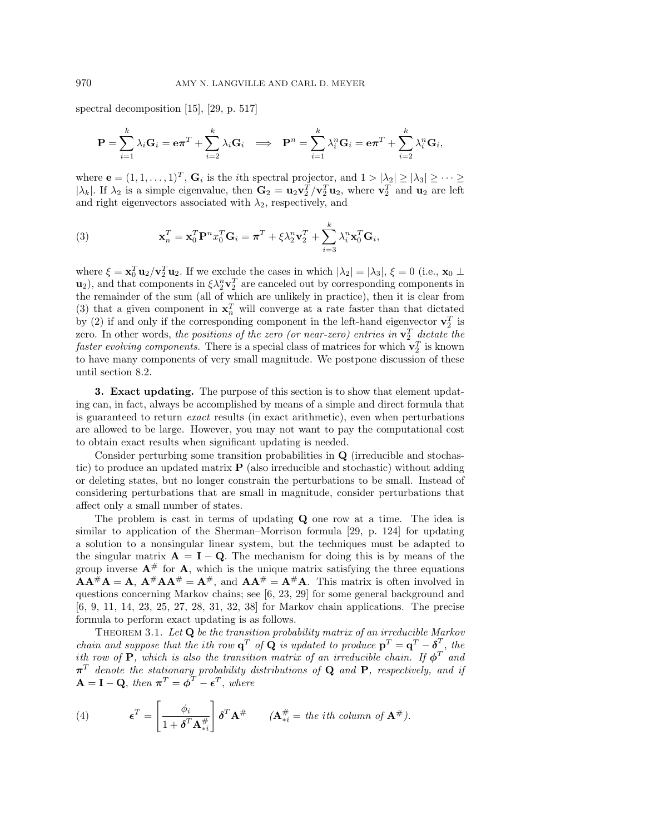spectral decomposition [15], [29, p. 517]

$$
\mathbf{P} = \sum_{i=1}^k \lambda_i \mathbf{G}_i = \mathbf{e} \boldsymbol{\pi}^T + \sum_{i=2}^k \lambda_i \mathbf{G}_i \implies \mathbf{P}^n = \sum_{i=1}^k \lambda_i^n \mathbf{G}_i = \mathbf{e} \boldsymbol{\pi}^T + \sum_{i=2}^k \lambda_i^n \mathbf{G}_i,
$$

where  $\mathbf{e} = (1, 1, \ldots, 1)^T$ ,  $\mathbf{G}_i$  is the *i*<sup>th</sup> spectral projector, and  $1 > |\lambda_2| \geq |\lambda_3| \geq \cdots \geq$ | $\lambda_k$ |. If  $\lambda_2$  is a simple eigenvalue, then  $\mathbf{G}_2 = \mathbf{u}_2 \mathbf{v}_2^T / \mathbf{v}_2^T \mathbf{u}_2$ , where  $\mathbf{v}_2^T$  and  $\mathbf{u}_2$  are left and right eigenvectors associated with  $\lambda_2$ , respectively, and

(3) 
$$
\mathbf{x}_n^T = \mathbf{x}_0^T \mathbf{P}^n x_0^T \mathbf{G}_i = \boldsymbol{\pi}^T + \xi \lambda_2^n \mathbf{v}_2^T + \sum_{i=3}^k \lambda_i^n \mathbf{x}_0^T \mathbf{G}_i,
$$

where  $\xi = \mathbf{x}_0^T \mathbf{u}_2 / \mathbf{v}_2^T \mathbf{u}_2$ . If we exclude the cases in which  $|\lambda_2| = |\lambda_3|, \xi = 0$  (i.e.,  $\mathbf{x}_0 \perp$  $\mathbf{u}_2$ ), and that components in  $\xi \lambda_2^n \mathbf{v}_2^T$  are canceled out by corresponding components in the remainder of the sum (all of which are unlikely in practice), then it is clear from (3) that a given component in  $x_n^T$  will converge at a rate faster than that dictated by (2) if and only if the corresponding component in the left-hand eigenvector  $\mathbf{v}_2^T$  is zero. In other words, the positions of the zero (or near-zero) entries in  $\mathbf{v}_2^T$  dictate the faster evolving components. There is a special class of matrices for which  $\mathbf{v}_2^T$  is known to have many components of very small magnitude. We postpone discussion of these until section 8.2.

**3. Exact updating.** The purpose of this section is to show that element updating can, in fact, always be accomplished by means of a simple and direct formula that is guaranteed to return exact results (in exact arithmetic), even when perturbations are allowed to be large. However, you may not want to pay the computational cost to obtain exact results when significant updating is needed.

Consider perturbing some transition probabilities in **Q** (irreducible and stochastic) to produce an updated matrix **P** (also irreducible and stochastic) without adding or deleting states, but no longer constrain the perturbations to be small. Instead of considering perturbations that are small in magnitude, consider perturbations that affect only a small number of states.

The problem is cast in terms of updating **Q** one row at a time. The idea is similar to application of the Sherman–Morrison formula [29, p. 124] for updating a solution to a nonsingular linear system, but the techniques must be adapted to the singular matrix  $A = I - Q$ . The mechanism for doing this is by means of the group inverse  $A^{\#}$  for  $A$ , which is the unique matrix satisfying the three equations  $\mathbf{A}\mathbf{A}^{\#}\mathbf{A} = \mathbf{A}, \ \mathbf{A}^{\#}\mathbf{A}\mathbf{A}^{\#} = \mathbf{A}^{\#}, \text{ and } \mathbf{A}\mathbf{A}^{\#} = \mathbf{A}^{\#}\mathbf{A}.$  This matrix is often involved in questions concerning Markov chains; see [6, 23, 29] for some general background and [6, 9, 11, 14, 23, 25, 27, 28, 31, 32, 38] for Markov chain applications. The precise formula to perform exact updating is as follows.

Theorem 3.1. Let **Q** be the transition probability matrix of an irreducible Markov chain and suppose that the ith row  $\mathbf{q}^T$  of  $\mathbf{Q}$  is updated to produce  $\mathbf{p}^T = \mathbf{q}^T - \boldsymbol{\delta}^T$ , the ith row of **P**, which is also the transition matrix of an irreducible chain. If  $\phi^T$  and  $\pi^T$  denote the stationary probability distributions of **Q** and **P**, respectively, and if  $\mathbf{A} = \mathbf{I} - \mathbf{Q}$ , then  $\boldsymbol{\pi}^T = \boldsymbol{\phi}^T - \boldsymbol{\epsilon}^T$ , where

(4) 
$$
\boldsymbol{\epsilon}^T = \begin{bmatrix} \phi_i \\ \frac{\phi_i}{1 + \boldsymbol{\delta}^T \mathbf{A}_{*i}^{\#}} \end{bmatrix} \boldsymbol{\delta}^T \mathbf{A}^{\#} \qquad (\mathbf{A}_{*i}^{\#} = \text{the } i\text{th column of } \mathbf{A}^{\#}).
$$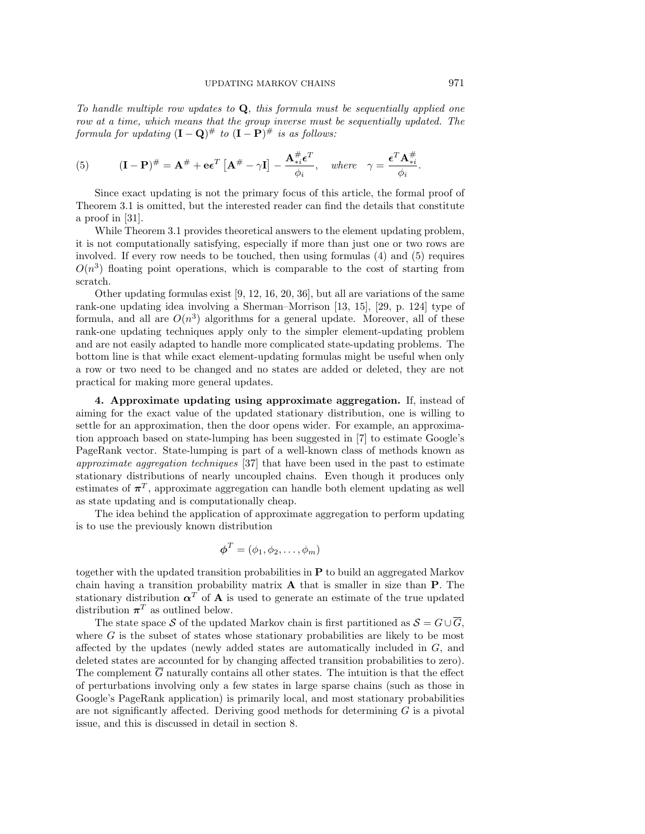To handle multiple row updates to **Q**, this formula must be sequentially applied one row at a time, which means that the group inverse must be sequentially updated. The formula for updating  $(I - Q)$ <sup>#</sup> to  $(I - P)$ <sup>#</sup> is as follows:

(5) 
$$
(\mathbf{I} - \mathbf{P})^{\#} = \mathbf{A}^{\#} + \mathbf{e} \epsilon^T \left[ \mathbf{A}^{\#} - \gamma \mathbf{I} \right] - \frac{\mathbf{A}^{\#}_{*i} \epsilon^T}{\phi_i}, \text{ where } \gamma = \frac{\epsilon^T \mathbf{A}^{\#}_{*i}}{\phi_i}.
$$

Since exact updating is not the primary focus of this article, the formal proof of Theorem 3.1 is omitted, but the interested reader can find the details that constitute a proof in [31].

While Theorem 3.1 provides theoretical answers to the element updating problem, it is not computationally satisfying, especially if more than just one or two rows are involved. If every row needs to be touched, then using formulas (4) and (5) requires  $O(n<sup>3</sup>)$  floating point operations, which is comparable to the cost of starting from scratch.

Other updating formulas exist [9, 12, 16, 20, 36], but all are variations of the same rank-one updating idea involving a Sherman–Morrison [13, 15], [29, p. 124] type of formula, and all are  $O(n^3)$  algorithms for a general update. Moreover, all of these rank-one updating techniques apply only to the simpler element-updating problem and are not easily adapted to handle more complicated state-updating problems. The bottom line is that while exact element-updating formulas might be useful when only a row or two need to be changed and no states are added or deleted, they are not practical for making more general updates.

**4. Approximate updating using approximate aggregation.** If, instead of aiming for the exact value of the updated stationary distribution, one is willing to settle for an approximation, then the door opens wider. For example, an approximation approach based on state-lumping has been suggested in [7] to estimate Google's PageRank vector. State-lumping is part of a well-known class of methods known as approximate aggregation techniques [37] that have been used in the past to estimate stationary distributions of nearly uncoupled chains. Even though it produces only estimates of  $\pi^T$ , approximate aggregation can handle both element updating as well as state updating and is computationally cheap.

The idea behind the application of approximate aggregation to perform updating is to use the previously known distribution

$$
\boldsymbol{\phi}^T = (\phi_1, \phi_2, \dots, \phi_m)
$$

together with the updated transition probabilities in **P** to build an aggregated Markov chain having a transition probability matrix **A** that is smaller in size than **P**. The stationary distribution  $\alpha^T$  of **A** is used to generate an estimate of the true updated distribution  $\pi^T$  as outlined below.

The state space S of the updated Markov chain is first partitioned as  $S = G \cup \overline{G}$ , where  $G$  is the subset of states whose stationary probabilities are likely to be most affected by the updates (newly added states are automatically included in G, and deleted states are accounted for by changing affected transition probabilities to zero). The complement  $\overline{G}$  naturally contains all other states. The intuition is that the effect of perturbations involving only a few states in large sparse chains (such as those in Google's PageRank application) is primarily local, and most stationary probabilities are not significantly affected. Deriving good methods for determining  $G$  is a pivotal issue, and this is discussed in detail in section 8.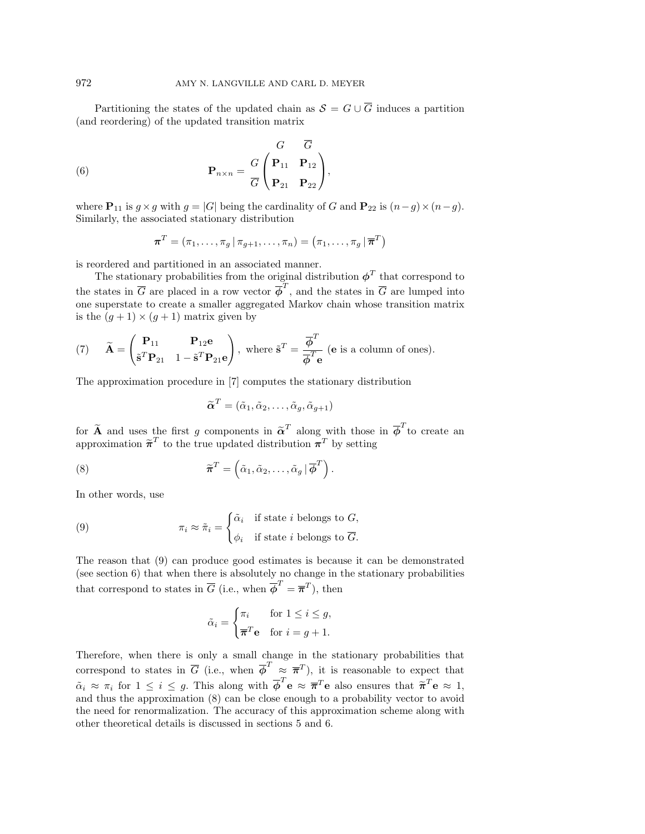Partitioning the states of the updated chain as  $S = G \cup \overline{G}$  induces a partition (and reordering) of the updated transition matrix

(6) 
$$
\mathbf{P}_{n \times n} = \frac{G}{G} \begin{pmatrix} \mathbf{P}_{11} & \mathbf{P}_{12} \\ \mathbf{P}_{21} & \mathbf{P}_{22} \end{pmatrix},
$$

where  $\mathbf{P}_{11}$  is  $g \times g$  with  $g = |G|$  being the cardinality of G and  $\mathbf{P}_{22}$  is  $(n-g) \times (n-g)$ . Similarly, the associated stationary distribution

$$
\boldsymbol{\pi}^T = (\pi_1, \ldots, \pi_g | \pi_{g+1}, \ldots, \pi_n) = (\pi_1, \ldots, \pi_g | \overline{\boldsymbol{\pi}}^T)
$$

is reordered and partitioned in an associated manner.

The stationary probabilities from the original distribution  $\phi^T$  that correspond to the states in  $\overline{G}$  are placed in a row vector  $\overline{\phi}^T$ , and the states in  $\overline{G}$  are lumped into one superstate to create a smaller aggregated Markov chain whose transition matrix is the  $(q + 1) \times (q + 1)$  matrix given by

(7) 
$$
\widetilde{\mathbf{A}} = \begin{pmatrix} \mathbf{P}_{11} & \mathbf{P}_{12} \mathbf{e} \\ \widetilde{\mathbf{s}}^T \mathbf{P}_{21} & 1 - \widetilde{\mathbf{s}}^T \mathbf{P}_{21} \mathbf{e} \end{pmatrix}
$$
, where  $\widetilde{\mathbf{s}}^T = \frac{\overline{\phi}^T}{\overline{\phi}^T \mathbf{e}}$  (e is a column of ones).

The approximation procedure in [7] computes the stationary distribution

$$
\widetilde{\boldsymbol{\alpha}}^T = (\tilde{\alpha}_1, \tilde{\alpha}_2, \dots, \tilde{\alpha}_g, \tilde{\alpha}_{g+1})
$$

for  $\tilde{A}$  and uses the first g components in  $\tilde{\alpha}^T$  along with those in  $\overline{\phi}^T$  to create an approximation  $\tilde{\pi}^T$  to the true undered distribution  $\pi^T$  by setting approximation  $\tilde{\pi}^T$  to the true updated distribution  $\pi^T$  by setting

(8) 
$$
\widetilde{\boldsymbol{\pi}}^T = \left( \widetilde{\alpha}_1, \widetilde{\alpha}_2, \ldots, \widetilde{\alpha}_g \, | \, \overline{\boldsymbol{\phi}}^T \right).
$$

In other words, use

(9) 
$$
\pi_i \approx \tilde{\pi}_i = \begin{cases} \tilde{\alpha}_i & \text{if state } i \text{ belongs to } G, \\ \phi_i & \text{if state } i \text{ belongs to } \overline{G}. \end{cases}
$$

The reason that (9) can produce good estimates is because it can be demonstrated (see section 6) that when there is absolutely no change in the stationary probabilities that correspond to states in  $\overline{G}$  (i.e., when  $\overline{\phi}^T = \overline{\pi}^T$ ), then

$$
\tilde{\alpha}_i = \begin{cases} \pi_i & \text{for } 1 \le i \le g, \\ \overline{\boldsymbol{\pi}}^T \mathbf{e} & \text{for } i = g + 1. \end{cases}
$$

Therefore, when there is only a small change in the stationary probabilities that correspond to states in  $\overline{G}$  (i.e., when  $\overline{\phi}^T \approx \overline{\pi}^T$ ), it is reasonable to expect that  $\tilde{\alpha}_i \approx \pi_i$  for  $1 \leq i \leq g$ . This along with  $\overline{\phi}^T \mathbf{e} \approx \overline{\pi}^T \mathbf{e}$  also ensures that  $\tilde{\pi}^T \mathbf{e} \approx 1$ , and thus the approximation (8) can be close enough to a probability vector to avoid the need for renormalization. The accuracy of this approximation scheme along with other theoretical details is discussed in sections 5 and 6.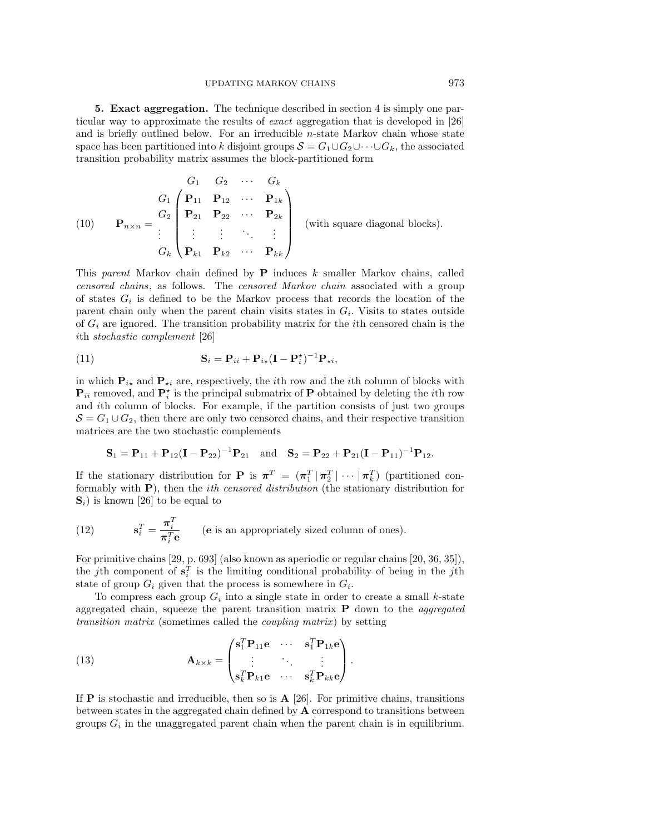**5. Exact aggregation.** The technique described in section 4 is simply one particular way to approximate the results of exact aggregation that is developed in [26] and is briefly outlined below. For an irreducible  $n$ -state Markov chain whose state space has been partitioned into k disjoint groups  $S = G_1 \cup G_2 \cup \cdots \cup G_k$ , the associated transition probability matrix assumes the block-partitioned form

(10) 
$$
\mathbf{P}_{n\times n} = \begin{pmatrix} G_1 & G_2 & \cdots & G_k \\ \mathbf{P}_{11} & \mathbf{P}_{12} & \cdots & \mathbf{P}_{1k} \\ \mathbf{P}_{21} & \mathbf{P}_{22} & \cdots & \mathbf{P}_{2k} \\ \vdots & \vdots & \ddots & \vdots \\ G_k & \mathbf{P}_{k1} & \mathbf{P}_{k2} & \cdots & \mathbf{P}_{kk} \end{pmatrix}
$$
 (with square diagonal blocks).

This parent Markov chain defined by **P** induces k smaller Markov chains, called censored chains, as follows. The censored Markov chain associated with a group of states  $G_i$  is defined to be the Markov process that records the location of the parent chain only when the parent chain visits states in  $G_i$ . Visits to states outside of  $G_i$  are ignored. The transition probability matrix for the *i*th censored chain is the ith stochastic complement [26]

(11) 
$$
\mathbf{S}_{i} = \mathbf{P}_{ii} + \mathbf{P}_{i\star}(\mathbf{I} - \mathbf{P}_{i}^{\star})^{-1}\mathbf{P}_{\star i},
$$

in which  $P_{i\star}$  and  $P_{\star i}$  are, respectively, the *i*<sup>th</sup> row and the *i*<sup>th</sup> column of blocks with  $\mathbf{P}_{ii}$  removed, and  $\mathbf{P}_{i}^{\star}$  is the principal submatrix of  $\mathbf{P}$  obtained by deleting the *i*th row and ith column of blocks. For example, if the partition consists of just two groups  $S = G_1 \cup G_2$ , then there are only two censored chains, and their respective transition matrices are the two stochastic complements

$$
\mathbf{S}_1 = \mathbf{P}_{11} + \mathbf{P}_{12}(\mathbf{I} - \mathbf{P}_{22})^{-1}\mathbf{P}_{21} \quad \text{and} \quad \mathbf{S}_2 = \mathbf{P}_{22} + \mathbf{P}_{21}(\mathbf{I} - \mathbf{P}_{11})^{-1}\mathbf{P}_{12}.
$$

If the stationary distribution for **P** is  $\pi^T = (\pi_1^T | \pi_2^T | \cdots | \pi_k^T)$  (partitioned conformably with **P**), then the ith censored distribution (the stationary distribution for  $\mathbf{S}_i$ ) is known [26] to be equal to

(12) 
$$
\mathbf{s}_i^T = \frac{\boldsymbol{\pi}_i^T}{\boldsymbol{\pi}_i^T \mathbf{e}} \qquad \text{(e is an appropriately sized column of ones)}.
$$

For primitive chains [29, p. 693] (also known as aperiodic or regular chains [20, 36, 35]), the *j*th component of  $\mathbf{s}_i^T$  is the limiting conditional probability of being in the *j*th state of group  $G_i$  given that the process is somewhere in  $G_i$ .

To compress each group  $G_i$  into a single state in order to create a small k-state aggregated chain, squeeze the parent transition matrix **P** down to the aggregated transition matrix (sometimes called the coupling matrix ) by setting

(13) 
$$
\mathbf{A}_{k \times k} = \begin{pmatrix} \mathbf{s}_1^T \mathbf{P}_{11} \mathbf{e} & \cdots & \mathbf{s}_1^T \mathbf{P}_{1k} \mathbf{e} \\ \vdots & \ddots & \vdots \\ \mathbf{s}_k^T \mathbf{P}_{k1} \mathbf{e} & \cdots & \mathbf{s}_k^T \mathbf{P}_{kk} \mathbf{e} \end{pmatrix}.
$$

If **P** is stochastic and irreducible, then so is  $\mathbf{A}$  [26]. For primitive chains, transitions between states in the aggregated chain defined by **A** correspond to transitions between groups  $G_i$  in the unaggregated parent chain when the parent chain is in equilibrium.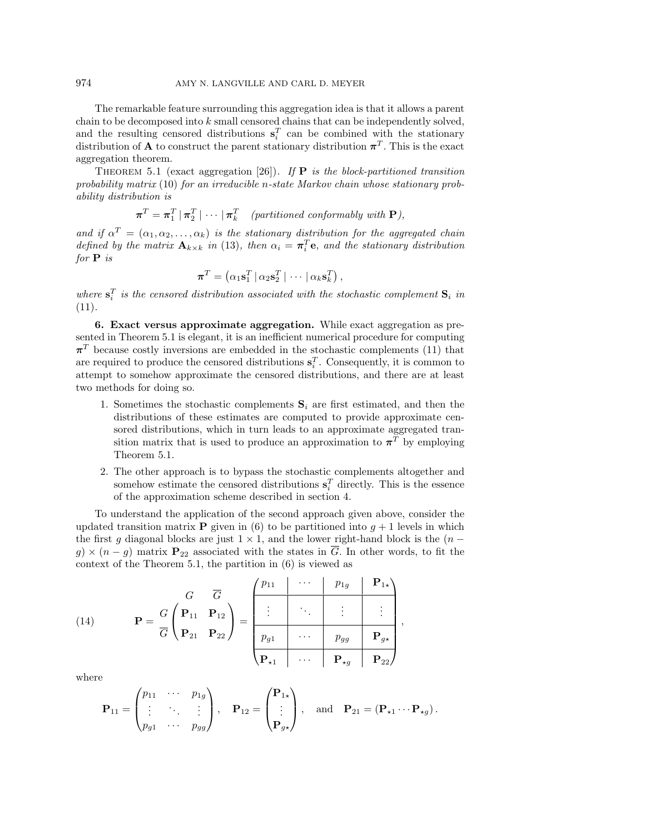The remarkable feature surrounding this aggregation idea is that it allows a parent chain to be decomposed into k small censored chains that can be independently solved, and the resulting censored distributions  $\mathbf{s}_i^T$  can be combined with the stationary distribution of **A** to construct the parent stationary distribution  $\pi^{T}$ . This is the exact aggregation theorem.

THEOREM 5.1 (exact aggregation [26]). If  $P$  is the block-partitioned transition probability matrix  $(10)$  for an irreducible n-state Markov chain whose stationary probability distribution is

$$
\boldsymbol{\pi}^T = \boldsymbol{\pi}_1^T \,|\, \boldsymbol{\pi}_2^T \,|\, \cdots \,|\, \boldsymbol{\pi}_k^T \quad (partitioned\,\,conformably\,\,with\,\, \mathbf{P}),
$$

and if  $\alpha^T = (\alpha_1, \alpha_2, \dots, \alpha_k)$  is the stationary distribution for the aggregated chain defined by the matrix  $\mathbf{A}_{k\times k}$  in (13), then  $\alpha_i = \boldsymbol{\pi}_i^T \mathbf{e}$ , and the stationary distribution for **P** is

$$
\boldsymbol{\pi}^T = \left(\alpha_1 \mathbf{s}_1^T \,|\, \alpha_2 \mathbf{s}_2^T \,|\, \cdots \,|\, \alpha_k \mathbf{s}_k^T\right),
$$

where  $\mathbf{s}_i^T$  is the censored distribution associated with the stochastic complement  $\mathbf{S}_i$  in (11).

**6. Exact versus approximate aggregation.** While exact aggregation as presented in Theorem 5.1 is elegant, it is an inefficient numerical procedure for computing  $\pi^{T}$  because costly inversions are embedded in the stochastic complements (11) that are required to produce the censored distributions  $\mathbf{s}_i^T$ . Consequently, it is common to attempt to somehow approximate the censored distributions, and there are at least two methods for doing so.

- 1. Sometimes the stochastic complements  $S_i$  are first estimated, and then the distributions of these estimates are computed to provide approximate censored distributions, which in turn leads to an approximate aggregated transition matrix that is used to produce an approximation to  $\pi^T$  by employing Theorem 5.1.
- 2. The other approach is to bypass the stochastic complements altogether and somehow estimate the censored distributions  $\mathbf{s}_i^T$  directly. This is the essence of the approximation scheme described in section 4.

To understand the application of the second approach given above, consider the updated transition matrix **P** given in (6) to be partitioned into  $g + 1$  levels in which the first g diagonal blocks are just  $1 \times 1$ , and the lower right-hand block is the  $(n$  $g \times (n - g)$  matrix  $P_{22}$  associated with the states in  $\overline{G}$ . In other words, to fit the context of the Theorem 5.1, the partition in (6) is viewed as

(14) 
$$
\mathbf{P} = \frac{G}{G} \begin{pmatrix} \mathbf{P}_{11} & \mathbf{P}_{12} \\ \mathbf{P}_{21} & \mathbf{P}_{22} \end{pmatrix} = \frac{\begin{pmatrix} p_{11} & \cdots & p_{1g} & \mathbf{P}_{1x} \\ \vdots & \ddots & \vdots & \vdots \\ \frac{p_{g1}}{p_{g1}} & \cdots & \frac{p_{gg}}{p_{gg}} & \mathbf{P}_{gx} \end{pmatrix}}{\begin{pmatrix} \mathbf{P}_{11} & \cdots & \mathbf{P}_{1g} & \mathbf{P}_{1x} \\ \vdots & \ddots & \vdots & \vdots \\ \frac{p_{g1}}{p_{g1}} & \cdots & \frac{p_{gg}}{p_{gg}} & \mathbf{P}_{gz} \end{pmatrix}},
$$

where

$$
\mathbf{P}_{11} = \begin{pmatrix} p_{11} & \cdots & p_{1g} \\ \vdots & \ddots & \vdots \\ p_{g1} & \cdots & p_{gg} \end{pmatrix}, \quad \mathbf{P}_{12} = \begin{pmatrix} \mathbf{P}_{1\star} \\ \vdots \\ \mathbf{P}_{g\star} \end{pmatrix}, \quad \text{and} \quad \mathbf{P}_{21} = (\mathbf{P}_{\star 1} \cdots \mathbf{P}_{\star g}).
$$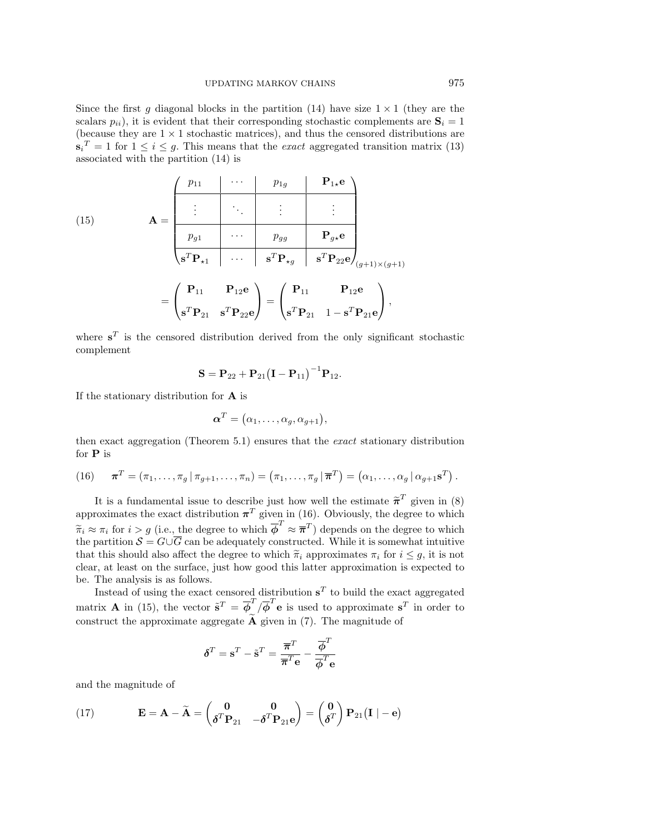Since the first g diagonal blocks in the partition (14) have size  $1 \times 1$  (they are the scalars  $p_{ii}$ , it is evident that their corresponding stochastic complements are  $\mathbf{S}_i = 1$ (because they are  $1 \times 1$  stochastic matrices), and thus the censored distributions are  $\mathbf{s}_i^T = 1$  for  $1 \leq i \leq g$ . This means that the *exact* aggregated transition matrix (13) associated with the partition (14) is

(15)  
\n
$$
\mathbf{A} = \begin{pmatrix}\np_{11} & \cdots & p_{1g} & \mathbf{P}_{1*}\mathbf{e} \\
\vdots & \ddots & \vdots & \vdots \\
p_{g1} & \cdots & p_{gg} & \mathbf{P}_{g*}\mathbf{e} \\
\hline\n\mathbf{s}^T \mathbf{P}_{*1} & \cdots & \mathbf{s}^T \mathbf{P}_{*g} & \mathbf{s}^T \mathbf{P}_{22} \mathbf{e}_{g+1} \\
\vdots & \ddots & \vdots & \vdots \\
\hline\n\mathbf{s}^T \mathbf{P}_{*1} & \mathbf{P}_{12} \mathbf{e} & \mathbf{s}^T \mathbf{P}_{*g} & \mathbf{s}^T \mathbf{P}_{22} \mathbf{e}_{g+1} \\
\mathbf{s}^T \mathbf{P}_{21} & \mathbf{s}^T \mathbf{P}_{22} \mathbf{e} & \mathbf{s}^T \mathbf{P}_{21} & 1 - \mathbf{s}^T \mathbf{P}_{21} \mathbf{e}\n\end{pmatrix},
$$

where  $s^T$  is the censored distribution derived from the only significant stochastic complement

$$
\mathbf{S} = \mathbf{P}_{22} + \mathbf{P}_{21} (\mathbf{I} - \mathbf{P}_{11})^{-1} \mathbf{P}_{12}.
$$

If the stationary distribution for **A** is

$$
\boldsymbol{\alpha}^T = (\alpha_1, \ldots, \alpha_g, \alpha_{g+1}),
$$

then exact aggregation (Theorem 5.1) ensures that the exact stationary distribution for **P** is

(16) 
$$
\boldsymbol{\pi}^T = (\pi_1, \ldots, \pi_g | \pi_{g+1}, \ldots, \pi_n) = (\pi_1, \ldots, \pi_g | \boldsymbol{\overline{\pi}}^T) = (\alpha_1, \ldots, \alpha_g | \alpha_{g+1} \mathbf{s}^T).
$$

It is a fundamental issue to describe just how well the estimate  $\tilde{\pi}^T$  given in (8) approximates the exact distribution  $\pi^T$  given in (16). Obviously, the degree to which  $\widetilde{\pi}_i \approx \pi_i$  for  $i > g$  (i.e., the degree to which  $\overline{\phi}^T \approx \overline{\pi}^T$ ) depends on the degree to which the partition  $S = G \cup \overline{G}$  can be adequately constructed. While it is somewhat intuitive that this should also affect the degree to which  $\tilde{\pi}_i$  approximates  $\pi_i$  for  $i \leq q$ , it is not clear, at least on the surface, just how good this latter approximation is expected to be. The analysis is as follows.

Instead of using the exact censored distribution  $s<sup>T</sup>$  to build the exact aggregated matrix **A** in (15), the vector  $\tilde{\mathbf{s}}^T = \overline{\boldsymbol{\phi}}^T / \overline{\boldsymbol{\phi}}^T \mathbf{e}$  is used to approximate  $\mathbf{s}^T$  in order to construct the approximate aggregate  $\widetilde{A}$  given in (7). The magnitude of

$$
\boldsymbol{\delta}^{T}=\mathbf{s}^{T}-\tilde{\mathbf{s}}^{T}=\frac{\overline{\boldsymbol{\pi}}^{T}}{\overline{\boldsymbol{\pi}}^{T}\mathbf{e}}-\frac{\overline{\boldsymbol{\phi}}^{T}}{\overline{\boldsymbol{\phi}}^{T}\mathbf{e}}
$$

and the magnitude of

(17) 
$$
\mathbf{E} = \mathbf{A} - \widetilde{\mathbf{A}} = \begin{pmatrix} \mathbf{0} & \mathbf{0} \\ \boldsymbol{\delta}^T \mathbf{P}_{21} & -\boldsymbol{\delta}^T \mathbf{P}_{21} \mathbf{e} \end{pmatrix} = \begin{pmatrix} \mathbf{0} \\ \boldsymbol{\delta}^T \end{pmatrix} \mathbf{P}_{21} (\mathbf{I} \mid -\mathbf{e})
$$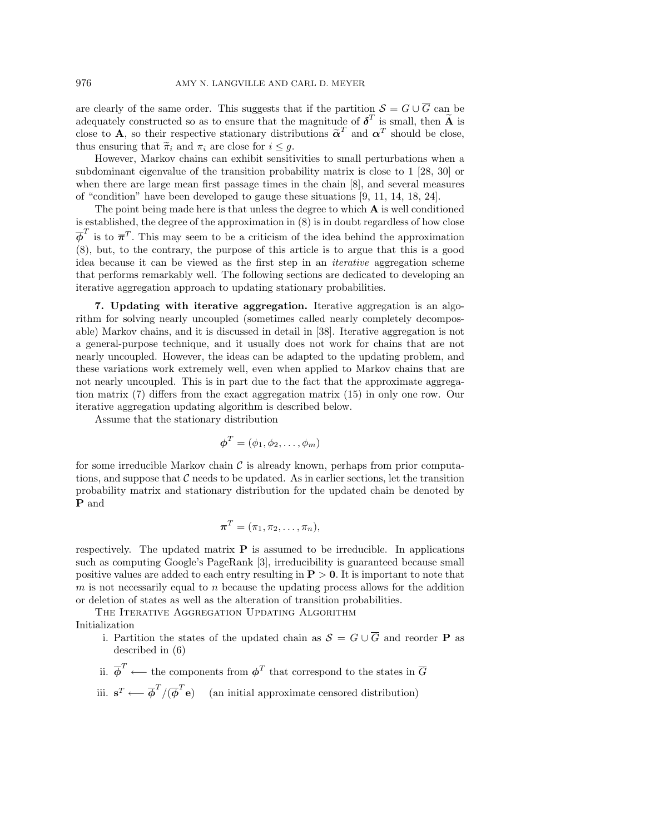are clearly of the same order. This suggests that if the partition  $S = G \cup \overline{G}$  can be adequately constructed so as to ensure that the magnitude of  $\delta^T$  is small, then  $\tilde{A}$  is close to **A**, so their respective stationary distributions  $\tilde{\alpha}^T$  and  $\alpha^T$  should be close, thus ensuring that  $\tilde{\pi}_i$  and  $\pi_i$  are close for  $i \leq g$ .

However, Markov chains can exhibit sensitivities to small perturbations when a subdominant eigenvalue of the transition probability matrix is close to 1 [28, 30] or when there are large mean first passage times in the chain [8], and several measures of "condition" have been developed to gauge these situations [9, 11, 14, 18, 24].

The point being made here is that unless the degree to which **A** is well conditioned is established, the degree of the approximation in (8) is in doubt regardless of how close  $\overline{\phi}^T$  is to  $\overline{\pi}^T$ . This may seem to be a criticism of the idea behind the approximation (8), but, to the contrary, the purpose of this article is to argue that this is a good idea because it can be viewed as the first step in an iterative aggregation scheme that performs remarkably well. The following sections are dedicated to developing an iterative aggregation approach to updating stationary probabilities.

**7. Updating with iterative aggregation.** Iterative aggregation is an algorithm for solving nearly uncoupled (sometimes called nearly completely decomposable) Markov chains, and it is discussed in detail in [38]. Iterative aggregation is not a general-purpose technique, and it usually does not work for chains that are not nearly uncoupled. However, the ideas can be adapted to the updating problem, and these variations work extremely well, even when applied to Markov chains that are not nearly uncoupled. This is in part due to the fact that the approximate aggregation matrix (7) differs from the exact aggregation matrix (15) in only one row. Our iterative aggregation updating algorithm is described below.

Assume that the stationary distribution

$$
\boldsymbol{\phi}^T = (\phi_1, \phi_2, \dots, \phi_m)
$$

for some irreducible Markov chain  $\mathcal C$  is already known, perhaps from prior computations, and suppose that  $\mathcal C$  needs to be updated. As in earlier sections, let the transition probability matrix and stationary distribution for the updated chain be denoted by **P** and

$$
\boldsymbol{\pi}^T = (\pi_1, \pi_2, \dots, \pi_n),
$$

respectively. The updated matrix **P** is assumed to be irreducible. In applications such as computing Google's PageRank [3], irreducibility is guaranteed because small positive values are added to each entry resulting in **P** > **0**. It is important to note that  $m$  is not necessarily equal to  $n$  because the updating process allows for the addition or deletion of states as well as the alteration of transition probabilities.

THE ITERATIVE AGGREGATION UPDATING ALGORITHM Initialization

- i. Partition the states of the updated chain as  $S = G \cup \overline{G}$  and reorder **P** as described in (6)
- ii.  $\overline{\phi}^T \longleftarrow$  the components from  $\phi^T$  that correspond to the states in  $\overline{G}$
- iii. **s**<sup>T</sup> ←  $\overline{\phi}^T/(\overline{\phi}^T \mathbf{e})$  (an initial approximate censored distribution)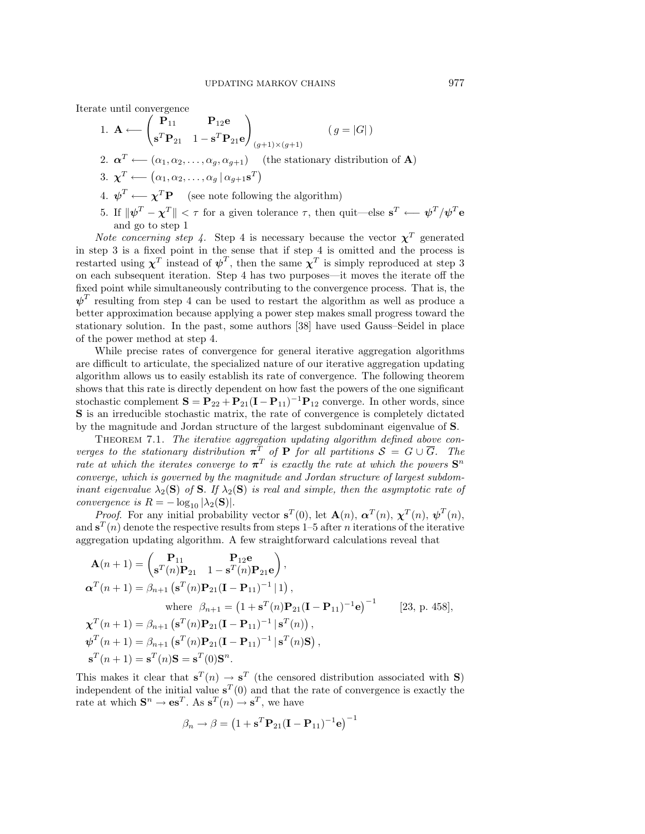Iterate until convergence

1. 
$$
\mathbf{A} \leftarrow \begin{pmatrix} \mathbf{P}_{11} & \mathbf{P}_{12}\mathbf{e} \\ \mathbf{s}^T \mathbf{P}_{21} & 1 - \mathbf{s}^T \mathbf{P}_{21} \mathbf{e} \end{pmatrix} (g = |G|)
$$
  
\n2.  $\boldsymbol{\alpha}^T \leftarrow (\alpha_1, \alpha_2, ..., \alpha_g, \alpha_{g+1})$  (the stationary distribution of **A**)  
\n3.  $\boldsymbol{\chi}^T \leftarrow (\alpha_1, \alpha_2, ..., \alpha_g | \alpha_{g+1} \mathbf{s}^T)$   
\n4.  $\boldsymbol{\psi}^T \leftarrow \boldsymbol{\chi}^T \mathbf{P}$  (see note following the algorithm)  
\n5. If  $\|\boldsymbol{\psi}^T - \boldsymbol{\chi}^T\| < \tau$  for a given tolerance  $\tau$ , then quit—else  $\mathbf{s}^T \leftarrow \boldsymbol{\psi}^T/\boldsymbol{\psi}^T \mathbf{e}$   
\nand go to step 1

Note concerning step 4. Step 4 is necessary because the vector  $\chi^T$  generated in step 3 is a fixed point in the sense that if step 4 is omitted and the process is restarted using  $\chi^T$  instead of  $\psi^T$ , then the same  $\chi^T$  is simply reproduced at step 3 on each subsequent iteration. Step 4 has two purposes—it moves the iterate off the fixed point while simultaneously contributing to the convergence process. That is, the  $\psi^T$  resulting from step 4 can be used to restart the algorithm as well as produce a better approximation because applying a power step makes small progress toward the stationary solution. In the past, some authors [38] have used Gauss–Seidel in place of the power method at step 4.

While precise rates of convergence for general iterative aggregation algorithms are difficult to articulate, the specialized nature of our iterative aggregation updating algorithm allows us to easily establish its rate of convergence. The following theorem shows that this rate is directly dependent on how fast the powers of the one significant stochastic complement  $S = P_{22} + P_{21}(I - P_{11})^{-1}P_{12}$  converge. In other words, since **S** is an irreducible stochastic matrix, the rate of convergence is completely dictated by the magnitude and Jordan structure of the largest subdominant eigenvalue of **S**.

THEOREM 7.1. The iterative aggregation updating algorithm defined above converges to the stationary distribution  $\pi^T$  of **P** for all partitions  $S = G \cup \overline{G}$ . The rate at which the iterates converge to  $\pi^T$  is exactly the rate at which the powers  $S^n$ converge, which is governed by the magnitude and Jordan structure of largest subdominant eigenvalue  $\lambda_2(S)$  of S. If  $\lambda_2(S)$  is real and simple, then the asymptotic rate of convergence is  $R = -\log_{10} |\lambda_2(\mathbf{S})|$ .

*Proof.* For any initial probability vector  $\mathbf{s}^T(0)$ , let  $\mathbf{A}(n)$ ,  $\alpha^T(n)$ ,  $\chi^T(n)$ ,  $\psi^T(n)$ , and  $\mathbf{s}^{T}(n)$  denote the respective results from steps 1–5 after *n* iterations of the iterative aggregation updating algorithm. A few straightforward calculations reveal that

$$
\mathbf{A}(n+1) = \begin{pmatrix} \mathbf{P}_{11} & \mathbf{P}_{12}\mathbf{e} \\ \mathbf{s}^{T}(n)\mathbf{P}_{21} & 1 - \mathbf{s}^{T}(n)\mathbf{P}_{21}\mathbf{e} \end{pmatrix},
$$
  
\n
$$
\mathbf{\alpha}^{T}(n+1) = \beta_{n+1} (\mathbf{s}^{T}(n)\mathbf{P}_{21}(\mathbf{I} - \mathbf{P}_{11})^{-1} | 1),
$$
  
\nwhere  $\beta_{n+1} = (1 + \mathbf{s}^{T}(n)\mathbf{P}_{21}(\mathbf{I} - \mathbf{P}_{11})^{-1}\mathbf{e})^{-1}$  [23, p. 458],  
\n
$$
\mathbf{\chi}^{T}(n+1) = \beta_{n+1} (\mathbf{s}^{T}(n)\mathbf{P}_{21}(\mathbf{I} - \mathbf{P}_{11})^{-1} | \mathbf{s}^{T}(n)),
$$
  
\n
$$
\psi^{T}(n+1) = \beta_{n+1} (\mathbf{s}^{T}(n)\mathbf{P}_{21}(\mathbf{I} - \mathbf{P}_{11})^{-1} | \mathbf{s}^{T}(n)\mathbf{S}),
$$
  
\n
$$
\mathbf{s}^{T}(n+1) = \mathbf{s}^{T}(n)\mathbf{S} = \mathbf{s}^{T}(0)\mathbf{S}^{n}.
$$

This makes it clear that  $\mathbf{s}^T(n) \to \mathbf{s}^T$  (the censored distribution associated with **S**) independent of the initial value  $\mathbf{s}^T(0)$  and that the rate of convergence is exactly the rate at which  $\mathbf{S}^n \to \mathbf{e}\mathbf{s}^T$ . As  $\mathbf{s}^T(n) \to \mathbf{s}^T$ , we have

$$
\beta_n \rightarrow \beta = \left(1 + \mathbf{s}^T \mathbf{P}_{21} (\mathbf{I} - \mathbf{P}_{11})^{-1} \mathbf{e}\right)^{-1}
$$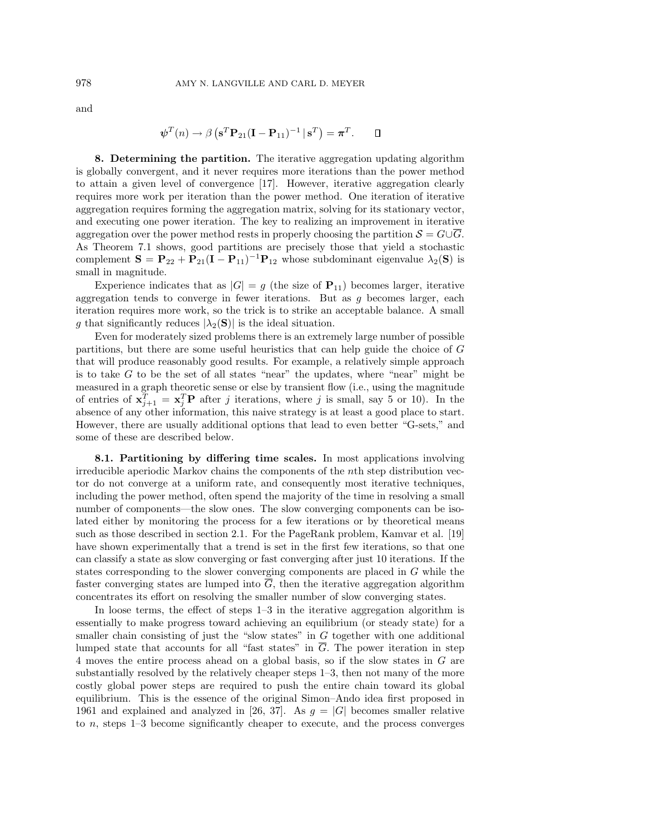$$
\boldsymbol{\psi}^T(n) \to \beta \left( \mathbf{s}^T \mathbf{P}_{21} (\mathbf{I} - \mathbf{P}_{11})^{-1} \, \mathbf{s}^T \right) = \boldsymbol{\pi}^T. \qquad \Box
$$

**8. Determining the partition.** The iterative aggregation updating algorithm is globally convergent, and it never requires more iterations than the power method to attain a given level of convergence [17]. However, iterative aggregation clearly requires more work per iteration than the power method. One iteration of iterative aggregation requires forming the aggregation matrix, solving for its stationary vector, and executing one power iteration. The key to realizing an improvement in iterative aggregation over the power method rests in properly choosing the partition  $S = G \cup \overline{G}$ . As Theorem 7.1 shows, good partitions are precisely those that yield a stochastic complement  $\mathbf{S} = \mathbf{P}_{22} + \mathbf{P}_{21}(\mathbf{I} - \mathbf{P}_{11})^{-1}\mathbf{P}_{12}$  whose subdominant eigenvalue  $\lambda_2(\mathbf{S})$  is small in magnitude.

Experience indicates that as  $|G| = g$  (the size of  $P_{11}$ ) becomes larger, iterative aggregation tends to converge in fewer iterations. But as g becomes larger, each iteration requires more work, so the trick is to strike an acceptable balance. A small g that significantly reduces  $|\lambda_2(S)|$  is the ideal situation.

Even for moderately sized problems there is an extremely large number of possible partitions, but there are some useful heuristics that can help guide the choice of G that will produce reasonably good results. For example, a relatively simple approach is to take  $G$  to be the set of all states "near" the updates, where "near" might be measured in a graph theoretic sense or else by transient flow (i.e., using the magnitude of entries of  $\mathbf{x}_{j+1}^T = \mathbf{x}_j^T \mathbf{P}$  after j iterations, where j is small, say 5 or 10). In the absence of any other information, this naive strategy is at least a good place to start. However, there are usually additional options that lead to even better "G-sets," and some of these are described below.

**8.1. Partitioning by differing time scales.** In most applications involving irreducible aperiodic Markov chains the components of the nth step distribution vector do not converge at a uniform rate, and consequently most iterative techniques, including the power method, often spend the majority of the time in resolving a small number of components—the slow ones. The slow converging components can be isolated either by monitoring the process for a few iterations or by theoretical means such as those described in section 2.1. For the PageRank problem, Kamvar et al. [19] have shown experimentally that a trend is set in the first few iterations, so that one can classify a state as slow converging or fast converging after just 10 iterations. If the states corresponding to the slower converging components are placed in G while the faster converging states are lumped into  $\overline{G}$ , then the iterative aggregation algorithm concentrates its effort on resolving the smaller number of slow converging states.

In loose terms, the effect of steps 1–3 in the iterative aggregation algorithm is essentially to make progress toward achieving an equilibrium (or steady state) for a smaller chain consisting of just the "slow states" in  $G$  together with one additional lumped state that accounts for all "fast states" in  $\overline{G}$ . The power iteration in step 4 moves the entire process ahead on a global basis, so if the slow states in G are substantially resolved by the relatively cheaper steps 1–3, then not many of the more costly global power steps are required to push the entire chain toward its global equilibrium. This is the essence of the original Simon–Ando idea first proposed in 1961 and explained and analyzed in [26, 37]. As  $g = |G|$  becomes smaller relative to n, steps 1–3 become significantly cheaper to execute, and the process converges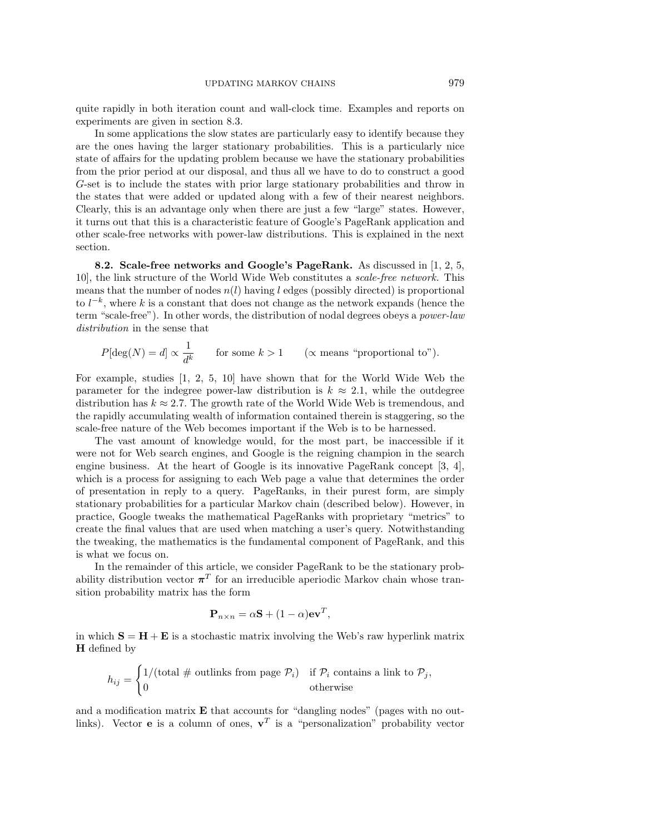quite rapidly in both iteration count and wall-clock time. Examples and reports on experiments are given in section 8.3.

In some applications the slow states are particularly easy to identify because they are the ones having the larger stationary probabilities. This is a particularly nice state of affairs for the updating problem because we have the stationary probabilities from the prior period at our disposal, and thus all we have to do to construct a good G-set is to include the states with prior large stationary probabilities and throw in the states that were added or updated along with a few of their nearest neighbors. Clearly, this is an advantage only when there are just a few "large" states. However, it turns out that this is a characteristic feature of Google's PageRank application and other scale-free networks with power-law distributions. This is explained in the next section.

**8.2. Scale-free networks and Google's PageRank.** As discussed in [1, 2, 5, 10], the link structure of the World Wide Web constitutes a scale-free network. This means that the number of nodes  $n(l)$  having l edges (possibly directed) is proportional to  $l^{-k}$ , where k is a constant that does not change as the network expands (hence the term "scale-free"). In other words, the distribution of nodal degrees obeys a power-law distribution in the sense that

$$
P[\deg(N) = d] \propto \frac{1}{d^k}
$$
 for some  $k > 1$  ( $\propto$  means "proportional to").

For example, studies [1, 2, 5, 10] have shown that for the World Wide Web the parameter for the indegree power-law distribution is  $k \approx 2.1$ , while the outdegree distribution has  $k \approx 2.7$ . The growth rate of the World Wide Web is tremendous, and the rapidly accumulating wealth of information contained therein is staggering, so the scale-free nature of the Web becomes important if the Web is to be harnessed.

The vast amount of knowledge would, for the most part, be inaccessible if it were not for Web search engines, and Google is the reigning champion in the search engine business. At the heart of Google is its innovative PageRank concept [3, 4], which is a process for assigning to each Web page a value that determines the order of presentation in reply to a query. PageRanks, in their purest form, are simply stationary probabilities for a particular Markov chain (described below). However, in practice, Google tweaks the mathematical PageRanks with proprietary "metrics" to create the final values that are used when matching a user's query. Notwithstanding the tweaking, the mathematics is the fundamental component of PageRank, and this is what we focus on.

In the remainder of this article, we consider PageRank to be the stationary probability distribution vector  $\pi^{T}$  for an irreducible aperiodic Markov chain whose transition probability matrix has the form

$$
\mathbf{P}_{n \times n} = \alpha \mathbf{S} + (1 - \alpha) \mathbf{e} \mathbf{v}^T,
$$

in which  $S = H + E$  is a stochastic matrix involving the Web's raw hyperlink matrix **H** defined by

$$
h_{ij} = \begin{cases} 1/(\text{total} \# \text{ outlinks from page } \mathcal{P}_i) & \text{if } \mathcal{P}_i \text{ contains a link to } \mathcal{P}_j, \\ 0 & \text{otherwise} \end{cases}
$$

and a modification matrix **E** that accounts for "dangling nodes" (pages with no outlinks). Vector **e** is a column of ones,  $v^T$  is a "personalization" probability vector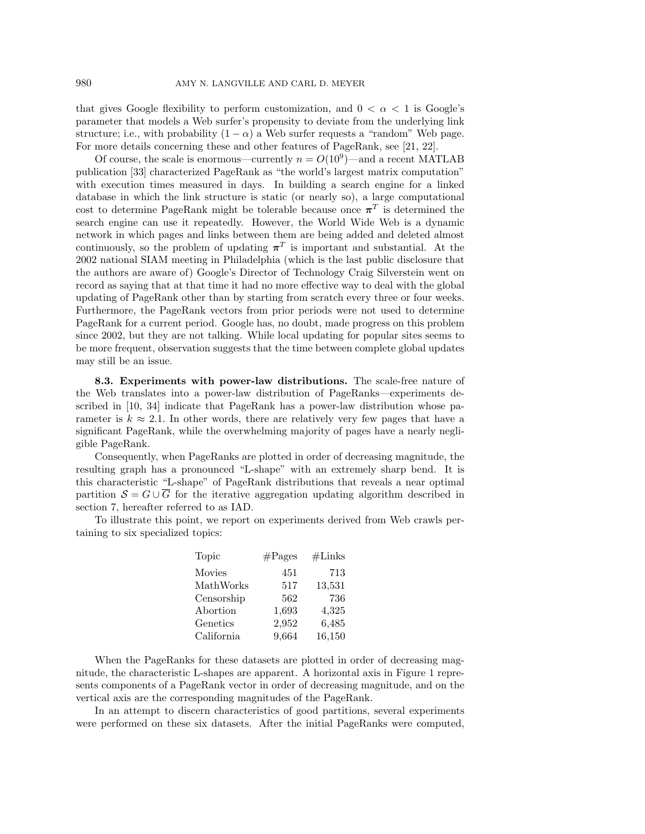that gives Google flexibility to perform customization, and  $0 < \alpha < 1$  is Google's parameter that models a Web surfer's propensity to deviate from the underlying link structure; i.e., with probability  $(1 - \alpha)$  a Web surfer requests a "random" Web page. For more details concerning these and other features of PageRank, see [21, 22].

Of course, the scale is enormous—currently  $n = O(10^9)$ —and a recent MATLAB publication [33] characterized PageRank as "the world's largest matrix computation" with execution times measured in days. In building a search engine for a linked database in which the link structure is static (or nearly so), a large computational cost to determine PageRank might be tolerable because once  $\pi^T$  is determined the search engine can use it repeatedly. However, the World Wide Web is a dynamic network in which pages and links between them are being added and deleted almost continuously, so the problem of updating  $\pi^T$  is important and substantial. At the 2002 national SIAM meeting in Philadelphia (which is the last public disclosure that the authors are aware of) Google's Director of Technology Craig Silverstein went on record as saying that at that time it had no more effective way to deal with the global updating of PageRank other than by starting from scratch every three or four weeks. Furthermore, the PageRank vectors from prior periods were not used to determine PageRank for a current period. Google has, no doubt, made progress on this problem since 2002, but they are not talking. While local updating for popular sites seems to be more frequent, observation suggests that the time between complete global updates may still be an issue.

**8.3. Experiments with power-law distributions.** The scale-free nature of the Web translates into a power-law distribution of PageRanks—experiments described in [10, 34] indicate that PageRank has a power-law distribution whose parameter is  $k \approx 2.1$ . In other words, there are relatively very few pages that have a significant PageRank, while the overwhelming majority of pages have a nearly negligible PageRank.

Consequently, when PageRanks are plotted in order of decreasing magnitude, the resulting graph has a pronounced "L-shape" with an extremely sharp bend. It is this characteristic "L-shape" of PageRank distributions that reveals a near optimal partition  $S = G \cup \overline{G}$  for the iterative aggregation updating algorithm described in section 7, hereafter referred to as IAD.

To illustrate this point, we report on experiments derived from Web crawls pertaining to six specialized topics:

| Topic      | $\#\text{Pages}$ | $\#\text{Links}$ |
|------------|------------------|------------------|
| Movies     | 451              | 713              |
| MathWorks  | 517              | 13,531           |
| Censorship | 562              | 736              |
| Abortion   | 1,693            | 4,325            |
| Genetics   | 2,952            | 6,485            |
| California | 9,664            | 16,150           |

When the PageRanks for these datasets are plotted in order of decreasing magnitude, the characteristic L-shapes are apparent. A horizontal axis in Figure 1 represents components of a PageRank vector in order of decreasing magnitude, and on the vertical axis are the corresponding magnitudes of the PageRank.

In an attempt to discern characteristics of good partitions, several experiments were performed on these six datasets. After the initial PageRanks were computed,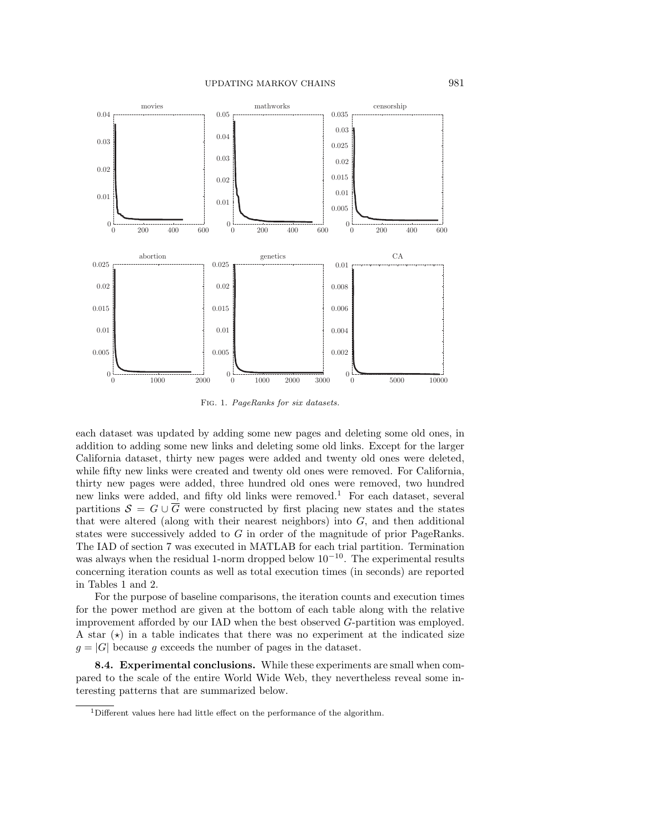

Fig. 1. PageRanks for six datasets.

each dataset was updated by adding some new pages and deleting some old ones, in addition to adding some new links and deleting some old links. Except for the larger California dataset, thirty new pages were added and twenty old ones were deleted, while fifty new links were created and twenty old ones were removed. For California, thirty new pages were added, three hundred old ones were removed, two hundred new links were added, and fifty old links were removed.<sup>1</sup> For each dataset, several partitions  $S = G \cup \overline{G}$  were constructed by first placing new states and the states that were altered (along with their nearest neighbors) into  $G$ , and then additional states were successively added to G in order of the magnitude of prior PageRanks. The IAD of section 7 was executed in MATLAB for each trial partition. Termination was always when the residual 1-norm dropped below  $10^{-10}$ . The experimental results concerning iteration counts as well as total execution times (in seconds) are reported in Tables 1 and 2.

For the purpose of baseline comparisons, the iteration counts and execution times for the power method are given at the bottom of each table along with the relative improvement afforded by our IAD when the best observed G-partition was employed. A star  $(\star)$  in a table indicates that there was no experiment at the indicated size  $g = |G|$  because g exceeds the number of pages in the dataset.

**8.4. Experimental conclusions.** While these experiments are small when compared to the scale of the entire World Wide Web, they nevertheless reveal some interesting patterns that are summarized below.

<sup>&</sup>lt;sup>1</sup>Different values here had little effect on the performance of the algorithm.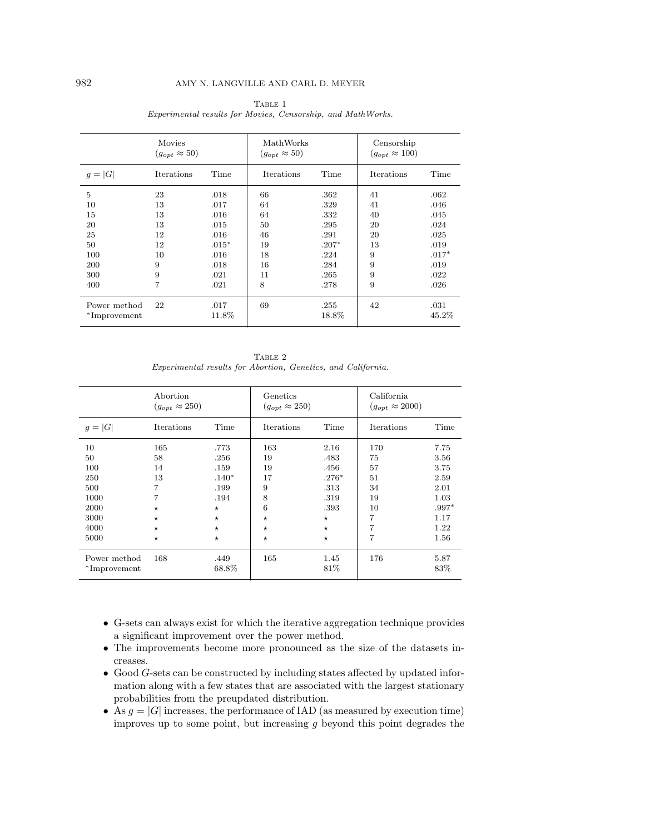|                              | Movies<br>$(g_{opt} \approx 50)$ |               | MathWorks<br>$(g_{opt} \approx 50)$ |               | Censorship<br>$(g_{opt} \approx 100)$ |               |
|------------------------------|----------------------------------|---------------|-------------------------------------|---------------|---------------------------------------|---------------|
| $g =  G $                    | <b>Iterations</b>                | Time          | <b>Iterations</b>                   | Time          | <b>Iterations</b>                     | Time          |
| 5                            | 23                               | .018          | 66                                  | .362          | 41                                    | .062          |
| 10                           | 13                               | .017          | 64                                  | .329          | 41                                    | .046          |
| 15                           | 13                               | .016          | 64                                  | .332          | 40                                    | .045          |
| 20                           | 13                               | .015          | 50                                  | .295          | 20                                    | .024          |
| 25                           | 12                               | .016          | 46                                  | .291          | 20                                    | .025          |
| 50                           | 12                               | $.015*$       | 19                                  | $.207*$       | 13                                    | .019          |
| 100                          | 10                               | .016          | 18                                  | .224          | 9                                     | $.017*$       |
| 200                          | 9                                | .018          | 16                                  | .284          | 9                                     | .019          |
| 300                          | 9                                | .021          | 11                                  | .265          | 9                                     | .022          |
| 400                          | 7                                | .021          | 8                                   | .278          | 9                                     | .026          |
| Power method<br>*Improvement | 22                               | .017<br>11.8% | 69                                  | .255<br>18.8% | 42                                    | .031<br>45.2% |

 ${\rm Table}$  1 Experimental results for Movies, Censorship, and MathWorks.

TABLE 2 Experimental results for Abortion, Genetics, and California.

|              | Abortion<br>$(g_{opt} \approx 250)$ |         | Genetics<br>$(q_{opt} \approx 250)$ |         | California<br>$(g_{opt} \approx 2000)$ |         |
|--------------|-------------------------------------|---------|-------------------------------------|---------|----------------------------------------|---------|
| $g =  G $    | Iterations                          | Time    | Iterations                          | Time    | Iterations                             | Time    |
| 10           | 165                                 | .773    | 163                                 | 2.16    | 170                                    | 7.75    |
| 50           | 58                                  | .256    | 19                                  | .483    | 75                                     | 3.56    |
| 100          | 14                                  | .159    | 19                                  | .456    | 57                                     | 3.75    |
| 250          | 13                                  | $.140*$ | 17                                  | $.276*$ | 51                                     | 2.59    |
| 500          | 7                                   | .199    | 9                                   | .313    | 34                                     | 2.01    |
| 1000         | 7                                   | .194    | 8                                   | .319    | 19                                     | 1.03    |
| 2000         | $\star$                             | $\star$ | 6                                   | .393    | 10                                     | $.997*$ |
| 3000         | $\star$                             | $\star$ | $\star$                             | $\star$ | 7                                      | 1.17    |
| 4000         | $\star$                             | $\star$ | $^{\star}$                          | $\star$ | 7                                      | 1.22    |
| 5000         | $\star$                             | $\star$ | $\star$                             | $\star$ | 7                                      | 1.56    |
| Power method | 168                                 | .449    | 165                                 | 1.45    | 176                                    | 5.87    |
| *Improvement |                                     | 68.8%   |                                     | 81\%    |                                        | 83\%    |

- G-sets can always exist for which the iterative aggregation technique provides a significant improvement over the power method.
- The improvements become more pronounced as the size of the datasets increases.
- Good G-sets can be constructed by including states affected by updated information along with a few states that are associated with the largest stationary probabilities from the preupdated distribution.
- As  $g = |G|$  increases, the performance of IAD (as measured by execution time) improves up to some point, but increasing  $g$  beyond this point degrades the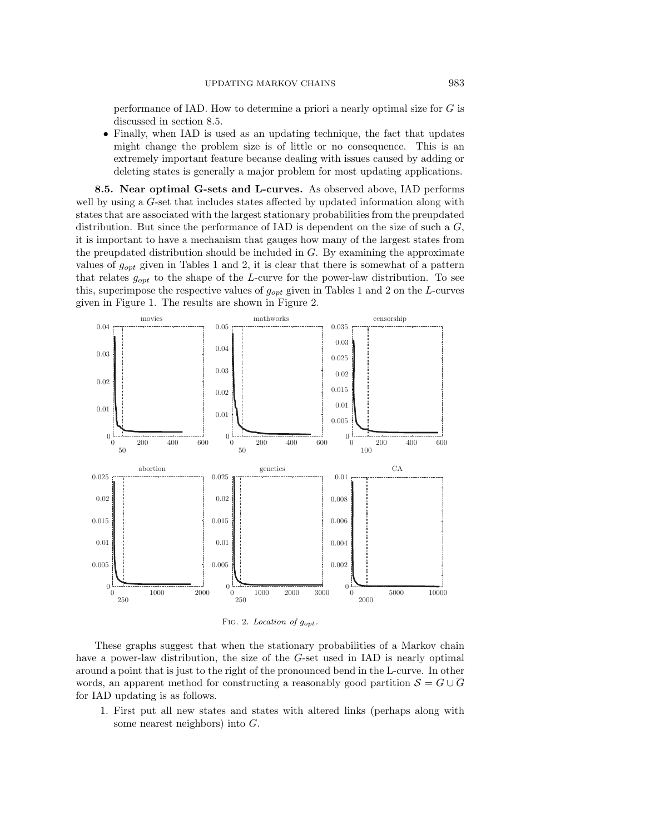performance of IAD. How to determine a priori a nearly optimal size for G is discussed in section 8.5.

• Finally, when IAD is used as an updating technique, the fact that updates might change the problem size is of little or no consequence. This is an extremely important feature because dealing with issues caused by adding or deleting states is generally a major problem for most updating applications.

**8.5. Near optimal G-sets and L-curves.** As observed above, IAD performs well by using a G-set that includes states affected by updated information along with states that are associated with the largest stationary probabilities from the preupdated distribution. But since the performance of IAD is dependent on the size of such a  $G$ , it is important to have a mechanism that gauges how many of the largest states from the preupdated distribution should be included in  $G$ . By examining the approximate values of  $g_{opt}$  given in Tables 1 and 2, it is clear that there is somewhat of a pattern that relates  $g_{opt}$  to the shape of the L-curve for the power-law distribution. To see this, superimpose the respective values of  $g_{opt}$  given in Tables 1 and 2 on the L-curves given in Figure 1. The results are shown in Figure 2.



FIG. 2. Location of  $g_{opt}$ .

These graphs suggest that when the stationary probabilities of a Markov chain have a power-law distribution, the size of the G-set used in IAD is nearly optimal around a point that is just to the right of the pronounced bend in the L-curve. In other words, an apparent method for constructing a reasonably good partition  $S = G \cup \overline{G}$ for IAD updating is as follows.

1. First put all new states and states with altered links (perhaps along with some nearest neighbors) into G.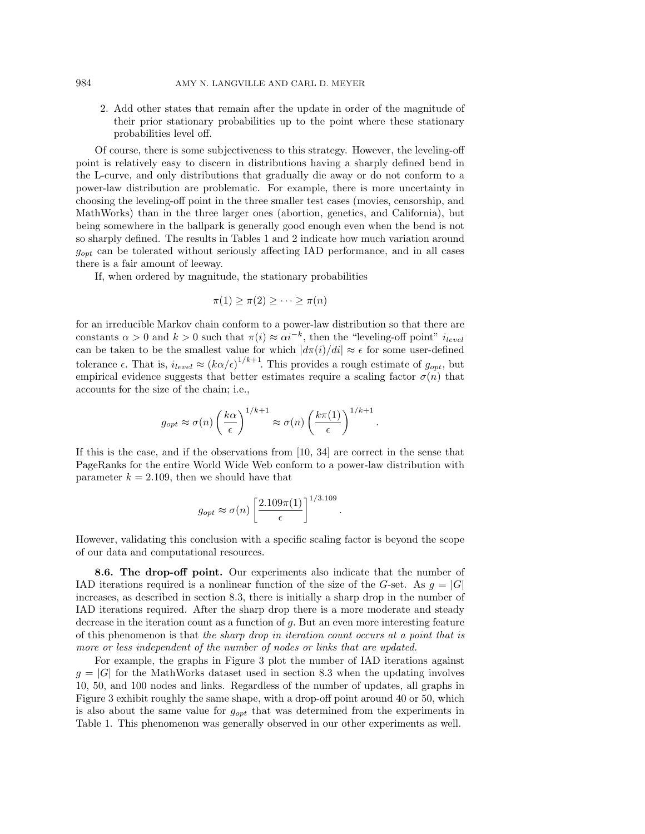2. Add other states that remain after the update in order of the magnitude of their prior stationary probabilities up to the point where these stationary probabilities level off.

Of course, there is some subjectiveness to this strategy. However, the leveling-off point is relatively easy to discern in distributions having a sharply defined bend in the L-curve, and only distributions that gradually die away or do not conform to a power-law distribution are problematic. For example, there is more uncertainty in choosing the leveling-off point in the three smaller test cases (movies, censorship, and MathWorks) than in the three larger ones (abortion, genetics, and California), but being somewhere in the ballpark is generally good enough even when the bend is not so sharply defined. The results in Tables 1 and 2 indicate how much variation around  $g_{opt}$  can be tolerated without seriously affecting IAD performance, and in all cases there is a fair amount of leeway.

If, when ordered by magnitude, the stationary probabilities

$$
\pi(1) \ge \pi(2) \ge \cdots \ge \pi(n)
$$

for an irreducible Markov chain conform to a power-law distribution so that there are constants  $\alpha > 0$  and  $k > 0$  such that  $\pi(i) \approx \alpha i^{-k}$ , then the "leveling-off point"  $i_{level}$ can be taken to be the smallest value for which  $|d\pi(i)/di| \approx \epsilon$  for some user-defined tolerance  $\epsilon$ . That is,  $i_{level} \approx (k\alpha/\epsilon)^{1/k+1}$ . This provides a rough estimate of  $g_{opt}$ , but empirical evidence suggests that better estimates require a scaling factor  $\sigma(n)$  that accounts for the size of the chain; i.e.,

$$
g_{opt} \approx \sigma(n) \left(\frac{k\alpha}{\epsilon}\right)^{1/k+1} \approx \sigma(n) \left(\frac{k\pi(1)}{\epsilon}\right)^{1/k+1}
$$

.

.

If this is the case, and if the observations from [10, 34] are correct in the sense that PageRanks for the entire World Wide Web conform to a power-law distribution with parameter  $k = 2.109$ , then we should have that

$$
g_{opt} \approx \sigma(n) \left[ \frac{2.109\pi(1)}{\epsilon} \right]^{1/3.109}
$$

However, validating this conclusion with a specific scaling factor is beyond the scope of our data and computational resources.

**8.6. The drop-off point.** Our experiments also indicate that the number of IAD iterations required is a nonlinear function of the size of the G-set. As  $g = |G|$ increases, as described in section 8.3, there is initially a sharp drop in the number of IAD iterations required. After the sharp drop there is a more moderate and steady decrease in the iteration count as a function of g. But an even more interesting feature of this phenomenon is that the sharp drop in iteration count occurs at a point that is more or less independent of the number of nodes or links that are updated.

For example, the graphs in Figure 3 plot the number of IAD iterations against  $g = |G|$  for the MathWorks dataset used in section 8.3 when the updating involves 10, 50, and 100 nodes and links. Regardless of the number of updates, all graphs in Figure 3 exhibit roughly the same shape, with a drop-off point around 40 or 50, which is also about the same value for  $g_{opt}$  that was determined from the experiments in Table 1. This phenomenon was generally observed in our other experiments as well.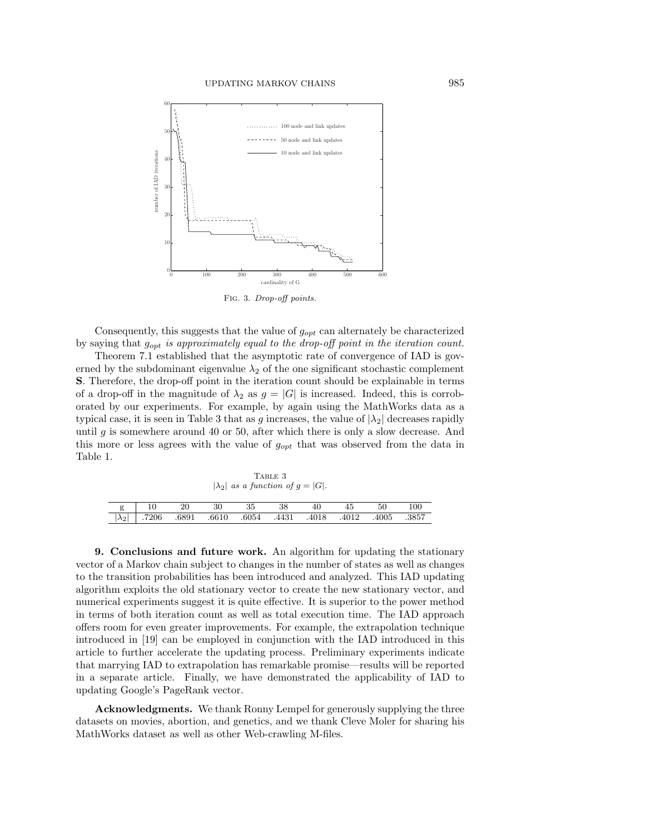

Fig. 3. Drop-off points.

Consequently, this suggests that the value of  $g_{opt}$  can alternately be characterized by saying that  $g_{opt}$  is approximately equal to the drop-off point in the iteration count.

Theorem 7.1 established that the asymptotic rate of convergence of IAD is governed by the subdominant eigenvalue  $\lambda_2$  of the one significant stochastic complement **S**. Therefore, the drop-off point in the iteration count should be explainable in terms of a drop-off in the magnitude of  $\lambda_2$  as  $g = |G|$  is increased. Indeed, this is corroborated by our experiments. For example, by again using the MathWorks data as a typical case, it is seen in Table 3 that as g increases, the value of  $|\lambda_2|$  decreases rapidly until g is somewhere around 40 or 50, after which there is only a slow decrease. And this more or less agrees with the value of  $g_{opt}$  that was observed from the data in Table 1.

| TABLE 3                                    |       |       |       |       |       |       |       |       |       |
|--------------------------------------------|-------|-------|-------|-------|-------|-------|-------|-------|-------|
| $ \lambda_2 $ as a function of $q =  G $ . |       |       |       |       |       |       |       |       |       |
|                                            |       |       |       |       |       |       |       |       |       |
| g                                          |       | 20    | 30    | 35    | 38    | 40    | 45    | 50    | 100   |
| $\lambda_2$                                | .7206 | .6891 | .6610 | .6054 | .4431 | .4018 | .4012 | .4005 | .3857 |

**9. Conclusions and future work.** An algorithm for updating the stationary vector of a Markov chain subject to changes in the number of states as well as changes to the transition probabilities has been introduced and analyzed. This IAD updating algorithm exploits the old stationary vector to create the new stationary vector, and numerical experiments suggest it is quite effective. It is superior to the power method in terms of both iteration count as well as total execution time. The IAD approach offers room for even greater improvements. For example, the extrapolation technique introduced in [19] can be employed in conjunction with the IAD introduced in this article to further accelerate the updating process. Preliminary experiments indicate that marrying IAD to extrapolation has remarkable promise—results will be reported in a separate article. Finally, we have demonstrated the applicability of IAD to updating Google's PageRank vector.

**Acknowledgments.** We thank Ronny Lempel for generously supplying the three datasets on movies, abortion, and genetics, and we thank Cleve Moler for sharing his MathWorks dataset as well as other Web-crawling M-files.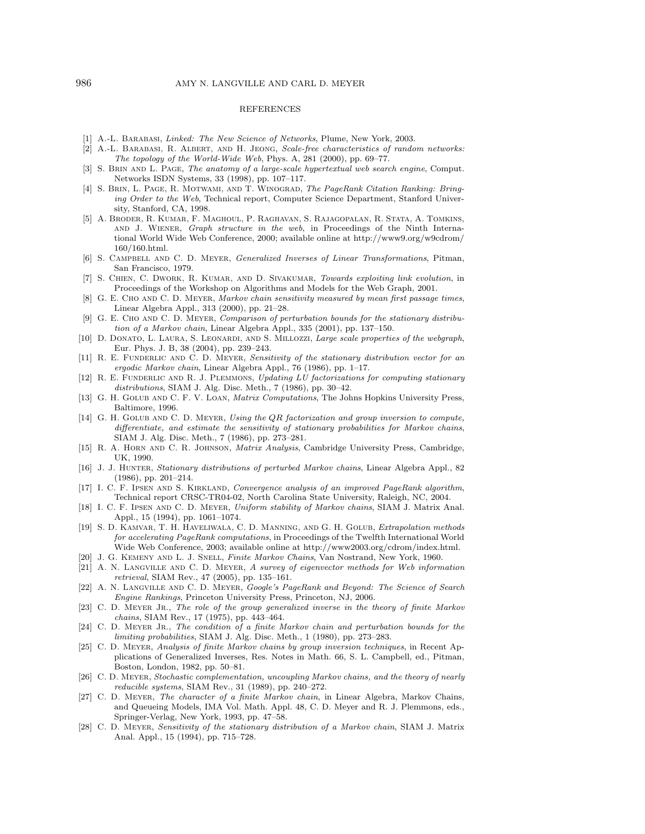## REFERENCES

- [1] A.-L. BARABASI, Linked: The New Science of Networks, Plume, New York, 2003.
- [2] A.-L. Barabasi, R. Albert, and H. Jeong, Scale-free characteristics of random networks: The topology of the World-Wide Web, Phys. A, 281 (2000), pp. 69–77.
- [3] S. BRIN AND L. PAGE, The anatomy of a large-scale hypertextual web search engine, Comput. Networks ISDN Systems, 33 (1998), pp. 107–117.
- [4] S. Brin, L. Page, R. Motwami, and T. Winograd, The PageRank Citation Ranking: Bringing Order to the Web, Technical report, Computer Science Department, Stanford University, Stanford, CA, 1998.
- [5] A. Broder, R. Kumar, F. Maghoul, P. Raghavan, S. Rajagopalan, R. Stata, A. Tomkins, and J. Wiener, Graph structure in the web, in Proceedings of the Ninth International World Wide Web Conference, 2000; available online at http://www9.org/w9cdrom/ 160/160.html.
- [6] S. Campbell and C. D. Meyer, Generalized Inverses of Linear Transformations, Pitman, San Francisco, 1979.
- [7] S. Chien, C. Dwork, R. Kumar, and D. Sivakumar, Towards exploiting link evolution, in Proceedings of the Workshop on Algorithms and Models for the Web Graph, 2001.
- [8] G. E. CHO AND C. D. MEYER, Markov chain sensitivity measured by mean first passage times, Linear Algebra Appl., 313 (2000), pp. 21–28.
- [9] G. E. Cho and C. D. Meyer, Comparison of perturbation bounds for the stationary distribution of a Markov chain, Linear Algebra Appl., 335 (2001), pp. 137–150.
- [10] D. DONATO, L. LAURA, S. LEONARDI, AND S. MILLOZZI, Large scale properties of the webgraph, Eur. Phys. J. B, 38 (2004), pp. 239–243.
- [11] R. E. FUNDERLIC AND C. D. MEYER, Sensitivity of the stationary distribution vector for an ergodic Markov chain, Linear Algebra Appl., 76 (1986), pp. 1–17.
- [12] R. E. FUNDERLIC AND R. J. PLEMMONS, Updating LU factorizations for computing stationary distributions, SIAM J. Alg. Disc. Meth., 7 (1986), pp. 30–42.
- [13] G. H. GOLUB AND C. F. V. LOAN, *Matrix Computations*, The Johns Hopkins University Press, Baltimore, 1996.
- [14] G. H. GOLUB AND C. D. MEYER, Using the QR factorization and group inversion to compute, differentiate, and estimate the sensitivity of stationary probabilities for Markov chains, SIAM J. Alg. Disc. Meth., 7 (1986), pp. 273–281.
- [15] R. A. Horn and C. R. Johnson, Matrix Analysis, Cambridge University Press, Cambridge, UK, 1990.
- [16] J. J. Hunter, Stationary distributions of perturbed Markov chains, Linear Algebra Appl., 82 (1986), pp. 201–214.
- [17] I. C. F. IPSEN AND S. KIRKLAND, Convergence analysis of an improved PageRank algorithm, Technical report CRSC-TR04-02, North Carolina State University, Raleigh, NC, 2004.
- [18] I. C. F. Ipsen and C. D. Meyer, Uniform stability of Markov chains, SIAM J. Matrix Anal. Appl., 15 (1994), pp. 1061–1074.
- [19] S. D. Kamvar, T. H. Haveliwala, C. D. Manning, and G. H. Golub, Extrapolation methods for accelerating PageRank computations, in Proceedings of the Twelfth International World Wide Web Conference, 2003; available online at http://www2003.org/cdrom/index.html.
- [20] J. G. Kemeny and L. J. Snell, Finite Markov Chains, Van Nostrand, New York, 1960.
- [21] A. N. Langville and C. D. Meyer, A survey of eigenvector methods for Web information retrieval, SIAM Rev., 47 (2005), pp. 135–161.
- [22] A. N. Langville and C. D. Meyer, Google's PageRank and Beyond: The Science of Search Engine Rankings, Princeton University Press, Princeton, NJ, 2006.
- [23] C. D. MEYER JR., The role of the group generalized inverse in the theory of finite Markov chains, SIAM Rev., 17 (1975), pp. 443–464.
- [24] C. D. MEYER JR., The condition of a finite Markov chain and perturbation bounds for the limiting probabilities, SIAM J. Alg. Disc. Meth., 1 (1980), pp. 273–283.
- [25] C. D. Meyer, Analysis of finite Markov chains by group inversion techniques, in Recent Applications of Generalized Inverses, Res. Notes in Math. 66, S. L. Campbell, ed., Pitman, Boston, London, 1982, pp. 50–81.
- [26] C. D. Meyer, Stochastic complementation, uncoupling Markov chains, and the theory of nearly reducible systems, SIAM Rev., 31 (1989), pp. 240–272.
- [27] C. D. Meyer, The character of a finite Markov chain, in Linear Algebra, Markov Chains, and Queueing Models, IMA Vol. Math. Appl. 48, C. D. Meyer and R. J. Plemmons, eds., Springer-Verlag, New York, 1993, pp. 47–58.
- [28] C. D. Meyer, Sensitivity of the stationary distribution of a Markov chain, SIAM J. Matrix Anal. Appl., 15 (1994), pp. 715–728.